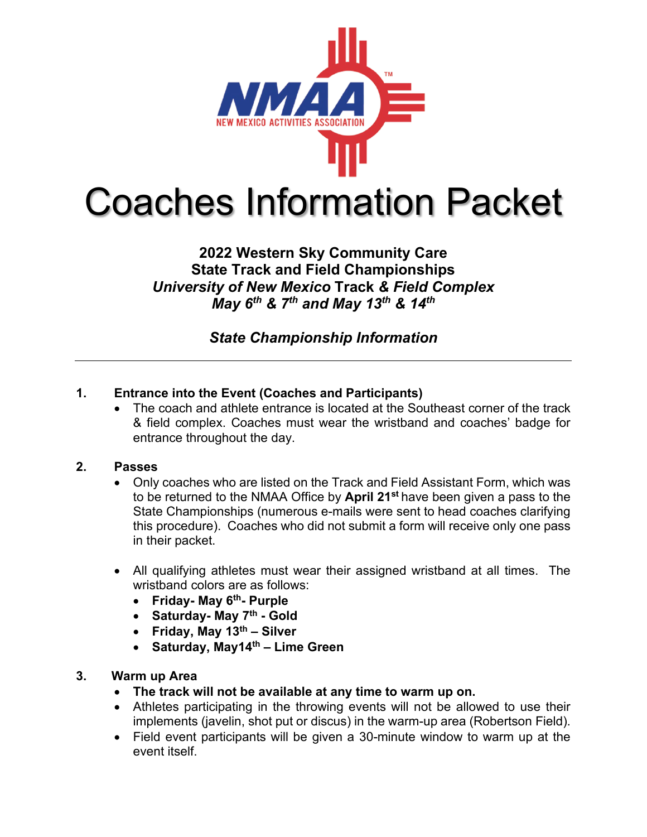

Coaches Information Packet

# **2022 Western Sky Community Care State Track and Field Championships** *University of New Mexico* **Track** *& Field Complex May 6th & 7th and May 13th & 14th*

*State Championship Information*

# **1. Entrance into the Event (Coaches and Participants)**

• The coach and athlete entrance is located at the Southeast corner of the track & field complex. Coaches must wear the wristband and coaches' badge for entrance throughout the day.

# **2. Passes**

- Only coaches who are listed on the Track and Field Assistant Form, which was to be returned to the NMAA Office by **April 21st** have been given a pass to the State Championships (numerous e-mails were sent to head coaches clarifying this procedure). Coaches who did not submit a form will receive only one pass in their packet.
- All qualifying athletes must wear their assigned wristband at all times. The wristband colors are as follows:
	- **Friday- May 6th- Purple**
	- **Saturday- May 7th - Gold**
	- **Friday, May 13th – Silver**
	- **Saturday, May14th – Lime Green**

# **3. Warm up Area**

- **The track will not be available at any time to warm up on.**
- Athletes participating in the throwing events will not be allowed to use their implements (javelin, shot put or discus) in the warm-up area (Robertson Field).
- Field event participants will be given a 30-minute window to warm up at the event itself.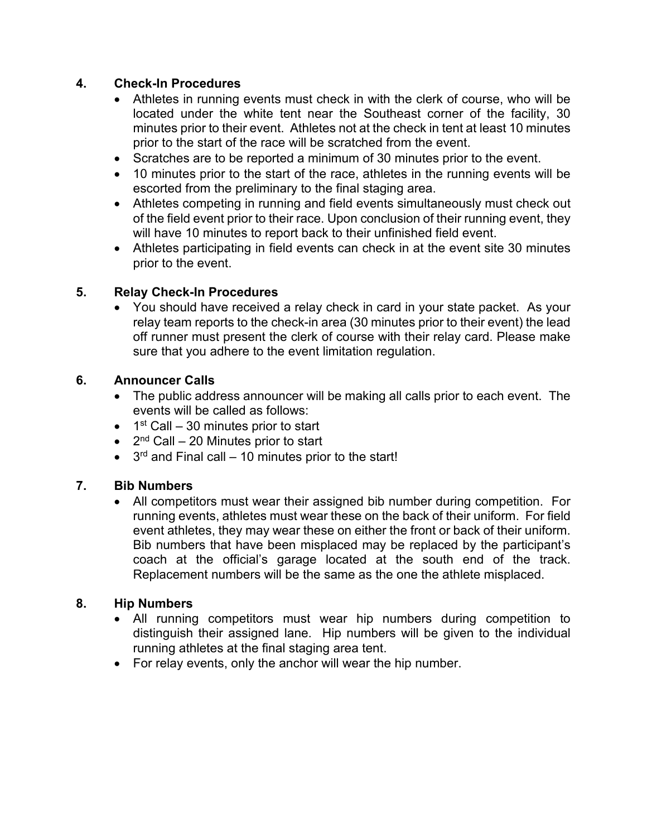# **4. Check-In Procedures**

- Athletes in running events must check in with the clerk of course, who will be located under the white tent near the Southeast corner of the facility, 30 minutes prior to their event. Athletes not at the check in tent at least 10 minutes prior to the start of the race will be scratched from the event.
- Scratches are to be reported a minimum of 30 minutes prior to the event.
- 10 minutes prior to the start of the race, athletes in the running events will be escorted from the preliminary to the final staging area.
- Athletes competing in running and field events simultaneously must check out of the field event prior to their race. Upon conclusion of their running event, they will have 10 minutes to report back to their unfinished field event.
- Athletes participating in field events can check in at the event site 30 minutes prior to the event.

# **5. Relay Check-In Procedures**

• You should have received a relay check in card in your state packet. As your relay team reports to the check-in area (30 minutes prior to their event) the lead off runner must present the clerk of course with their relay card. Please make sure that you adhere to the event limitation regulation.

# **6. Announcer Calls**

- The public address announcer will be making all calls prior to each event. The events will be called as follows:
- $\bullet$  1<sup>st</sup> Call 30 minutes prior to start
- $2<sup>nd</sup>$  Call 20 Minutes prior to start
- $\bullet$  3<sup>rd</sup> and Final call 10 minutes prior to the start!

# **7. Bib Numbers**

• All competitors must wear their assigned bib number during competition. For running events, athletes must wear these on the back of their uniform. For field event athletes, they may wear these on either the front or back of their uniform. Bib numbers that have been misplaced may be replaced by the participant's coach at the official's garage located at the south end of the track. Replacement numbers will be the same as the one the athlete misplaced.

#### **8. Hip Numbers**

- All running competitors must wear hip numbers during competition to distinguish their assigned lane. Hip numbers will be given to the individual running athletes at the final staging area tent.
- For relay events, only the anchor will wear the hip number.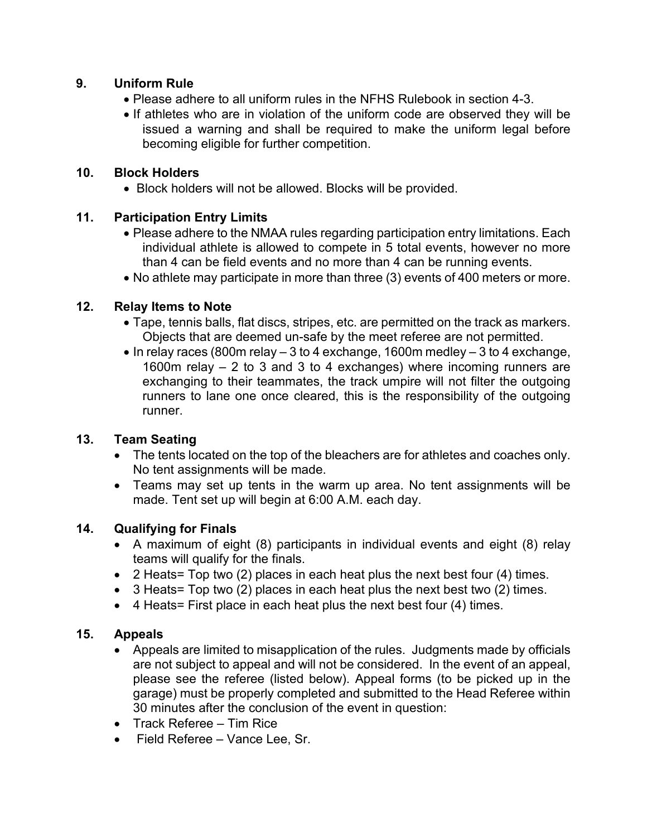# **9. Uniform Rule**

- Please adhere to all uniform rules in the NFHS Rulebook in section 4-3.
- If athletes who are in violation of the uniform code are observed they will be issued a warning and shall be required to make the uniform legal before becoming eligible for further competition.

# **10. Block Holders**

• Block holders will not be allowed. Blocks will be provided.

# **11. Participation Entry Limits**

- Please adhere to the NMAA rules regarding participation entry limitations. Each individual athlete is allowed to compete in 5 total events, however no more than 4 can be field events and no more than 4 can be running events.
- No athlete may participate in more than three (3) events of 400 meters or more.

# **12. Relay Items to Note**

- Tape, tennis balls, flat discs, stripes, etc. are permitted on the track as markers. Objects that are deemed un-safe by the meet referee are not permitted.
- $\bullet$  In relay races (800m relay  $-3$  to 4 exchange, 1600m medley  $-3$  to 4 exchange, 1600m relay – 2 to 3 and 3 to 4 exchanges) where incoming runners are exchanging to their teammates, the track umpire will not filter the outgoing runners to lane one once cleared, this is the responsibility of the outgoing runner.

#### **13. Team Seating**

- The tents located on the top of the bleachers are for athletes and coaches only. No tent assignments will be made.
- Teams may set up tents in the warm up area. No tent assignments will be made. Tent set up will begin at 6:00 A.M. each day.

#### **14. Qualifying for Finals**

- A maximum of eight (8) participants in individual events and eight (8) relay teams will qualify for the finals.
- 2 Heats= Top two (2) places in each heat plus the next best four (4) times.
- $\bullet$  3 Heats= Top two (2) places in each heat plus the next best two (2) times.
- 4 Heats= First place in each heat plus the next best four (4) times.

#### **15. Appeals**

- Appeals are limited to misapplication of the rules. Judgments made by officials are not subject to appeal and will not be considered. In the event of an appeal, please see the referee (listed below). Appeal forms (to be picked up in the garage) must be properly completed and submitted to the Head Referee within 30 minutes after the conclusion of the event in question:
- Track Referee Tim Rice
- Field Referee Vance Lee, Sr.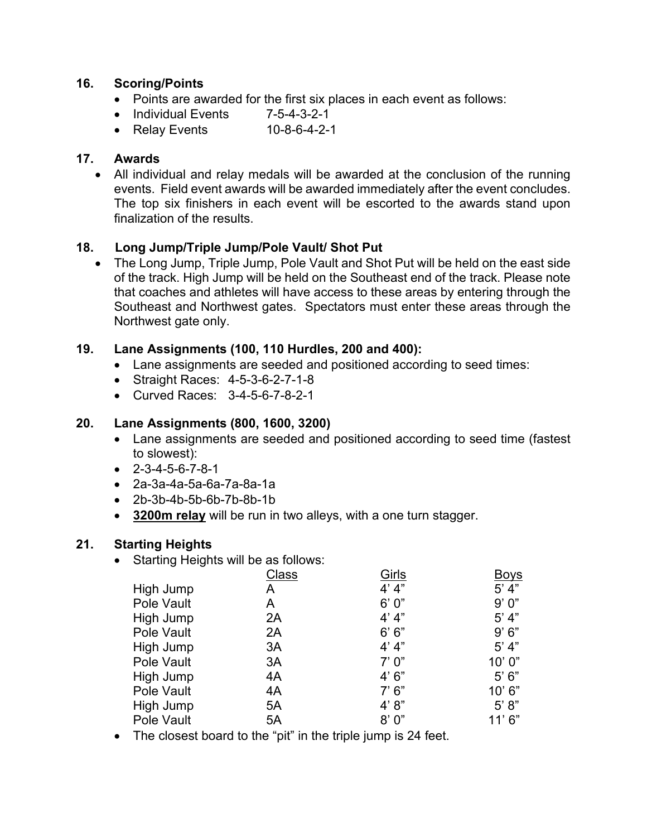#### **16. Scoring/Points**

- Points are awarded for the first six places in each event as follows:
- Individual Events 7-5-4-3-2-1
- Relay Events 10-8-6-4-2-1

#### **17. Awards**

• All individual and relay medals will be awarded at the conclusion of the running events. Field event awards will be awarded immediately after the event concludes. The top six finishers in each event will be escorted to the awards stand upon finalization of the results.

# **18. Long Jump/Triple Jump/Pole Vault/ Shot Put**

• The Long Jump, Triple Jump, Pole Vault and Shot Put will be held on the east side of the track. High Jump will be held on the Southeast end of the track. Please note that coaches and athletes will have access to these areas by entering through the Southeast and Northwest gates. Spectators must enter these areas through the Northwest gate only.

#### **19. Lane Assignments (100, 110 Hurdles, 200 and 400):**

- Lane assignments are seeded and positioned according to seed times:
- Straight Races: 4-5-3-6-2-7-1-8
- Curved Races: 3-4-5-6-7-8-2-1

#### **20. Lane Assignments (800, 1600, 3200)**

- Lane assignments are seeded and positioned according to seed time (fastest to slowest):
- $-2 3 4 5 6 7 8 1$
- 2a-3a-4a-5a-6a-7a-8a-1a
- 2b-3b-4b-5b-6b-7b-8b-1b
- **3200m relay** will be run in two alleys, with a one turn stagger.

#### **21. Starting Heights**

• Starting Heights will be as follows:

|            | Class | Girls  | Boys   |
|------------|-------|--------|--------|
| High Jump  | A     | 4' 4'' | 5' 4"  |
| Pole Vault | A     | 6'0''  | 9'0''  |
| High Jump  | 2A    | 4' 4'' | 5' 4"  |
| Pole Vault | 2A    | 6' 6'' | 9'6"   |
| High Jump  | 3A    | 4' 4'' | 5' 4"  |
| Pole Vault | 3A    | 7'0''  | 10'0'' |
| High Jump  | 4A    | 4'6''  | 5'6''  |
| Pole Vault | 4A    | 7'6''  | 10'6"  |
| High Jump  | 5A    | 4' 8'' | 5' 8'' |
| Pole Vault | 5A    | 8'0''  | 11'6"  |
|            |       |        |        |

• The closest board to the "pit" in the triple jump is 24 feet.